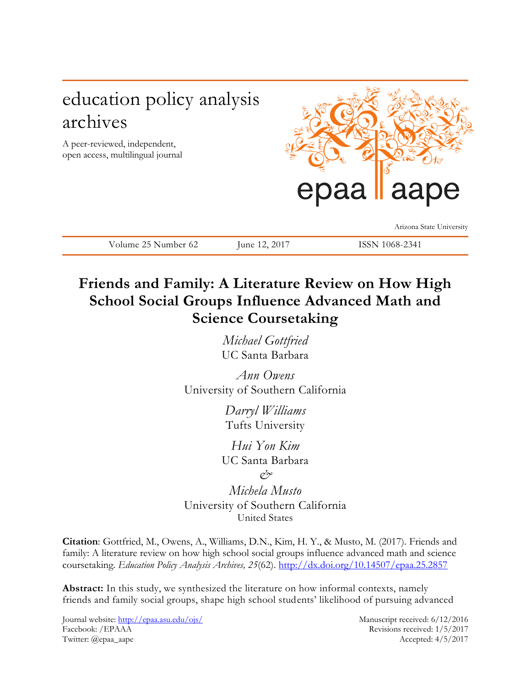# education policy analysis archives

A peer-reviewed, independent, open access, multilingual journal



Arizona State University

Volume 25 Number 62 June 12, 2017 ISSN 1068-2341

# **Friends and Family: A Literature Review on How High School Social Groups Influence Advanced Math and Science Coursetaking**

*Michael Gottfried* UC Santa Barbara

*Ann Owens* University of Southern California

> *Darryl Williams* Tufts University

*Hui Yon Kim* UC Santa Barbara

*&*

*Michela Musto* University of Southern California United States

**Citation**: Gottfried, M., Owens, A., Williams, D.N., Kim, H. Y., & Musto, M. (2017). Friends and family: A literature review on how high school social groups influence advanced math and science coursetaking. *Education Policy Analysis Archives, 25*(62). <http://dx.doi.org/10.14507/epaa.25.2857>

**Abstract:** In this study, we synthesized the literature on how informal contexts, namely friends and family social groups, shape high school students' likelihood of pursuing advanced

Journal website:<http://epaa.asu.edu/ojs/> Manuscript received: 6/12/2016 Facebook: /EPAAA Revisions received: 1/5/2017 Twitter: @epaa\_aape Accepted: 4/5/2017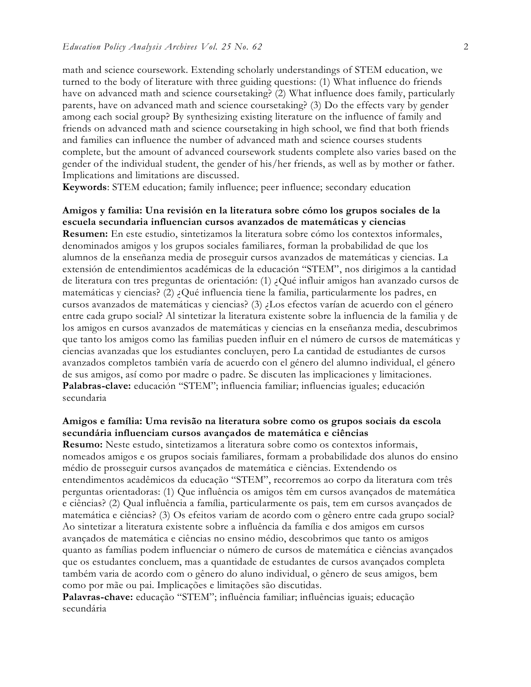math and science coursework. Extending scholarly understandings of STEM education, we turned to the body of literature with three guiding questions: (1) What influence do friends have on advanced math and science coursetaking? (2) What influence does family, particularly parents, have on advanced math and science coursetaking? (3) Do the effects vary by gender among each social group? By synthesizing existing literature on the influence of family and friends on advanced math and science coursetaking in high school, we find that both friends and families can influence the number of advanced math and science courses students complete, but the amount of advanced coursework students complete also varies based on the gender of the individual student, the gender of his/her friends, as well as by mother or father. Implications and limitations are discussed.

**Keywords**: STEM education; family influence; peer influence; secondary education

# **Amigos y familia: Una revisión en la literatura sobre cómo los grupos sociales de la escuela secundaria influencian cursos avanzados de matemáticas y ciencias**

**Resumen:** En este estudio, sintetizamos la literatura sobre cómo los contextos informales, denominados amigos y los grupos sociales familiares, forman la probabilidad de que los alumnos de la enseñanza media de proseguir cursos avanzados de matemáticas y ciencias. La extensión de entendimientos académicas de la educación "STEM", nos dirigimos a la cantidad de literatura con tres preguntas de orientación: (1) ¿Qué influir amigos han avanzado cursos de matemáticas y ciencias? (2) ¿Qué influencia tiene la familia, particularmente los padres, en cursos avanzados de matemáticas y ciencias? (3) ¿Los efectos varían de acuerdo con el género entre cada grupo social? Al sintetizar la literatura existente sobre la influencia de la familia y de los amigos en cursos avanzados de matemáticas y ciencias en la enseñanza media, descubrimos que tanto los amigos como las familias pueden influir en el número de cursos de matemáticas y ciencias avanzadas que los estudiantes concluyen, pero La cantidad de estudiantes de cursos avanzados completos también varía de acuerdo con el género del alumno individual, el género de sus amigos, así como por madre o padre. Se discuten las implicaciones y limitaciones. **Palabras-clave:** educación "STEM"; influencia familiar; influencias iguales; educación secundaria

### **Amigos e família: Uma revisão na literatura sobre como os grupos sociais da escola secundária influenciam cursos avançados de matemática e ciências**

**Resumo:** Neste estudo, sintetizamos a literatura sobre como os contextos informais, nomeados amigos e os grupos sociais familiares, formam a probabilidade dos alunos do ensino médio de prosseguir cursos avançados de matemática e ciências. Extendendo os entendimentos acadêmicos da educação "STEM", recorremos ao corpo da literatura com três perguntas orientadoras: (1) Que influência os amigos têm em cursos avançados de matemática e ciências? (2) Qual influência a família, particularmente os pais, tem em cursos avançados de matemática e ciências? (3) Os efeitos variam de acordo com o gênero entre cada grupo social? Ao sintetizar a literatura existente sobre a influência da família e dos amigos em cursos avançados de matemática e ciências no ensino médio, descobrimos que tanto os amigos quanto as famílias podem influenciar o número de cursos de matemática e ciências avançados que os estudantes concluem, mas a quantidade de estudantes de cursos avançados completa também varia de acordo com o gênero do aluno individual, o gênero de seus amigos, bem como por mãe ou pai. Implicações e limitações são discutidas.

**Palavras-chave:** educação "STEM"; influência familiar; influências iguais; educação secundária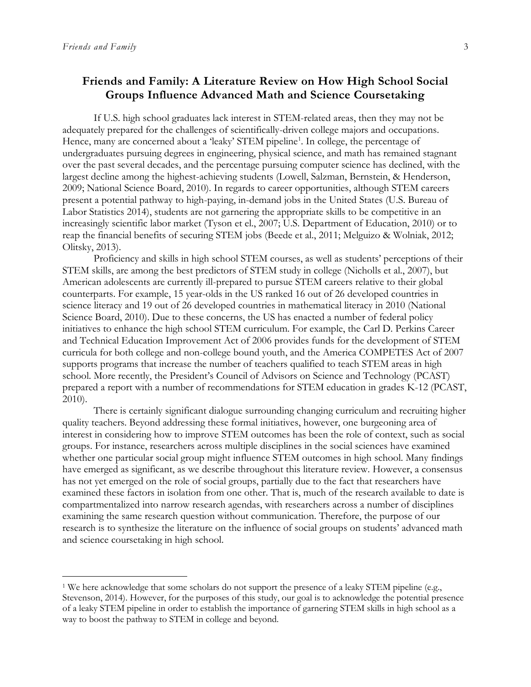$\overline{a}$ 

# **Friends and Family: A Literature Review on How High School Social Groups Influence Advanced Math and Science Coursetaking**

If U.S. high school graduates lack interest in STEM-related areas, then they may not be adequately prepared for the challenges of scientifically-driven college majors and occupations. Hence, many are concerned about a 'leaky' STEM pipeline<sup>1</sup>. In college, the percentage of undergraduates pursuing degrees in engineering, physical science, and math has remained stagnant over the past several decades, and the percentage pursuing computer science has declined, with the largest decline among the highest-achieving students (Lowell, Salzman, Bernstein, & Henderson, 2009; National Science Board, 2010). In regards to career opportunities, although STEM careers present a potential pathway to high-paying, in-demand jobs in the United States (U.S. Bureau of Labor Statistics 2014), students are not garnering the appropriate skills to be competitive in an increasingly scientific labor market (Tyson et el., 2007; U.S. Department of Education, 2010) or to reap the financial benefits of securing STEM jobs (Beede et al., 2011; Melguizo & Wolniak, 2012; Olitsky, 2013).

Proficiency and skills in high school STEM courses, as well as students' perceptions of their STEM skills, are among the best predictors of STEM study in college (Nicholls et al., 2007), but American adolescents are currently ill-prepared to pursue STEM careers relative to their global counterparts. For example, 15 year-olds in the US ranked 16 out of 26 developed countries in science literacy and 19 out of 26 developed countries in mathematical literacy in 2010 (National Science Board, 2010). Due to these concerns, the US has enacted a number of federal policy initiatives to enhance the high school STEM curriculum. For example, the Carl D. Perkins Career and Technical Education Improvement Act of 2006 provides funds for the development of STEM curricula for both college and non-college bound youth, and the America COMPETES Act of 2007 supports programs that increase the number of teachers qualified to teach STEM areas in high school. More recently, the President's Council of Advisors on Science and Technology (PCAST) prepared a report with a number of recommendations for STEM education in grades K-12 (PCAST, 2010).

There is certainly significant dialogue surrounding changing curriculum and recruiting higher quality teachers. Beyond addressing these formal initiatives, however, one burgeoning area of interest in considering how to improve STEM outcomes has been the role of context, such as social groups. For instance, researchers across multiple disciplines in the social sciences have examined whether one particular social group might influence STEM outcomes in high school. Many findings have emerged as significant, as we describe throughout this literature review. However, a consensus has not yet emerged on the role of social groups, partially due to the fact that researchers have examined these factors in isolation from one other. That is, much of the research available to date is compartmentalized into narrow research agendas, with researchers across a number of disciplines examining the same research question without communication. Therefore, the purpose of our research is to synthesize the literature on the influence of social groups on students' advanced math and science coursetaking in high school.

<sup>&</sup>lt;sup>1</sup> We here acknowledge that some scholars do not support the presence of a leaky STEM pipeline (e.g., Stevenson, 2014). However, for the purposes of this study, our goal is to acknowledge the potential presence of a leaky STEM pipeline in order to establish the importance of garnering STEM skills in high school as a way to boost the pathway to STEM in college and beyond.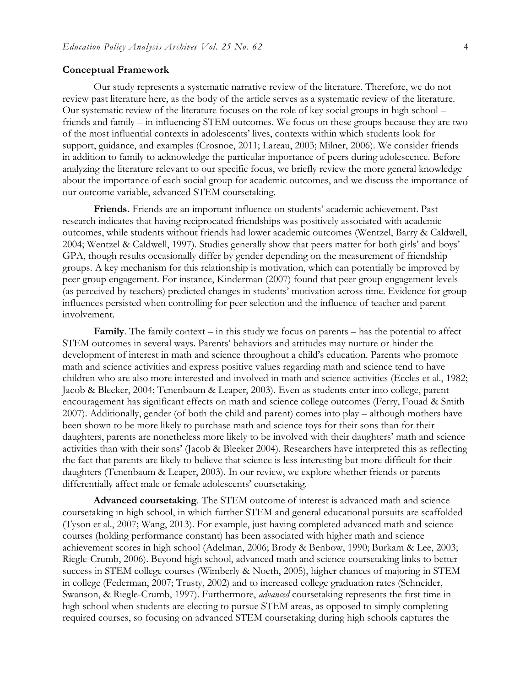#### **Conceptual Framework**

Our study represents a systematic narrative review of the literature. Therefore, we do not review past literature here, as the body of the article serves as a systematic review of the literature. Our systematic review of the literature focuses on the role of key social groups in high school – friends and family – in influencing STEM outcomes. We focus on these groups because they are two of the most influential contexts in adolescents' lives, contexts within which students look for support, guidance, and examples (Crosnoe, 2011; Lareau, 2003; Milner, 2006). We consider friends in addition to family to acknowledge the particular importance of peers during adolescence. Before analyzing the literature relevant to our specific focus, we briefly review the more general knowledge about the importance of each social group for academic outcomes, and we discuss the importance of our outcome variable, advanced STEM coursetaking.

**Friends.** Friends are an important influence on students' academic achievement. Past research indicates that having reciprocated friendships was positively associated with academic outcomes, while students without friends had lower academic outcomes (Wentzel, Barry & Caldwell, 2004; Wentzel & Caldwell, 1997). Studies generally show that peers matter for both girls' and boys' GPA, though results occasionally differ by gender depending on the measurement of friendship groups. A key mechanism for this relationship is motivation, which can potentially be improved by peer group engagement. For instance, Kinderman (2007) found that peer group engagement levels (as perceived by teachers) predicted changes in students' motivation across time. Evidence for group influences persisted when controlling for peer selection and the influence of teacher and parent involvement.

**Family**. The family context – in this study we focus on parents – has the potential to affect STEM outcomes in several ways. Parents' behaviors and attitudes may nurture or hinder the development of interest in math and science throughout a child's education. Parents who promote math and science activities and express positive values regarding math and science tend to have children who are also more interested and involved in math and science activities (Eccles et al., 1982; Jacob & Bleeker, 2004; Tenenbaum & Leaper, 2003). Even as students enter into college, parent encouragement has significant effects on math and science college outcomes (Ferry, Fouad & Smith 2007). Additionally, gender (of both the child and parent) comes into play – although mothers have been shown to be more likely to purchase math and science toys for their sons than for their daughters, parents are nonetheless more likely to be involved with their daughters' math and science activities than with their sons' (Jacob & Bleeker 2004). Researchers have interpreted this as reflecting the fact that parents are likely to believe that science is less interesting but more difficult for their daughters (Tenenbaum & Leaper, 2003). In our review, we explore whether friends or parents differentially affect male or female adolescents' coursetaking.

**Advanced coursetaking**. The STEM outcome of interest is advanced math and science coursetaking in high school, in which further STEM and general educational pursuits are scaffolded (Tyson et al., 2007; Wang, 2013). For example, just having completed advanced math and science courses (holding performance constant) has been associated with higher math and science achievement scores in high school (Adelman, 2006; Brody & Benbow, 1990; Burkam & Lee, 2003; Riegle-Crumb, 2006). Beyond high school, advanced math and science coursetaking links to better success in STEM college courses (Wimberly & Noeth, 2005), higher chances of majoring in STEM in college (Federman, 2007; Trusty, 2002) and to increased college graduation rates (Schneider, Swanson, & Riegle-Crumb, 1997). Furthermore, *advanced* coursetaking represents the first time in high school when students are electing to pursue STEM areas, as opposed to simply completing required courses, so focusing on advanced STEM coursetaking during high schools captures the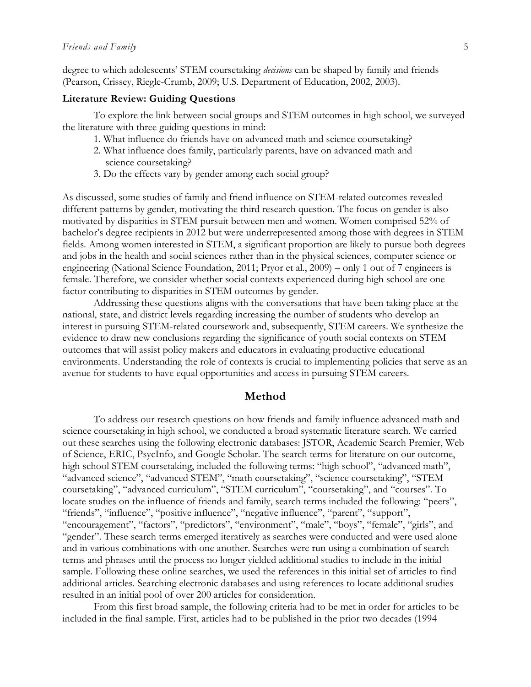degree to which adolescents' STEM coursetaking *decisions* can be shaped by family and friends (Pearson, Crissey, Riegle-Crumb, 2009; U.S. Department of Education, 2002, 2003).

#### **Literature Review: Guiding Questions**

To explore the link between social groups and STEM outcomes in high school, we surveyed the literature with three guiding questions in mind:

- 1. What influence do friends have on advanced math and science coursetaking?
- 2. What influence does family, particularly parents, have on advanced math and science coursetaking?
- 3. Do the effects vary by gender among each social group?

As discussed, some studies of family and friend influence on STEM-related outcomes revealed different patterns by gender, motivating the third research question. The focus on gender is also motivated by disparities in STEM pursuit between men and women. Women comprised 52% of bachelor's degree recipients in 2012 but were underrepresented among those with degrees in STEM fields. Among women interested in STEM, a significant proportion are likely to pursue both degrees and jobs in the health and social sciences rather than in the physical sciences, computer science or engineering (National Science Foundation, 2011; Pryor et al., 2009) – only 1 out of 7 engineers is female. Therefore, we consider whether social contexts experienced during high school are one factor contributing to disparities in STEM outcomes by gender.

Addressing these questions aligns with the conversations that have been taking place at the national, state, and district levels regarding increasing the number of students who develop an interest in pursuing STEM-related coursework and, subsequently, STEM careers. We synthesize the evidence to draw new conclusions regarding the significance of youth social contexts on STEM outcomes that will assist policy makers and educators in evaluating productive educational environments. Understanding the role of contexts is crucial to implementing policies that serve as an avenue for students to have equal opportunities and access in pursuing STEM careers.

#### **Method**

To address our research questions on how friends and family influence advanced math and science coursetaking in high school, we conducted a broad systematic literature search. We carried out these searches using the following electronic databases: JSTOR, Academic Search Premier, Web of Science, ERIC, PsycInfo, and Google Scholar. The search terms for literature on our outcome, high school STEM coursetaking, included the following terms: "high school", "advanced math", "advanced science", "advanced STEM", "math coursetaking", "science coursetaking", "STEM coursetaking", "advanced curriculum", "STEM curriculum", "coursetaking", and "courses". To locate studies on the influence of friends and family, search terms included the following: "peers", "friends", "influence", "positive influence", "negative influence", "parent", "support", "encouragement", "factors", "predictors", "environment", "male", "boys", "female", "girls", and "gender". These search terms emerged iteratively as searches were conducted and were used alone and in various combinations with one another. Searches were run using a combination of search terms and phrases until the process no longer yielded additional studies to include in the initial sample. Following these online searches, we used the references in this initial set of articles to find additional articles. Searching electronic databases and using references to locate additional studies resulted in an initial pool of over 200 articles for consideration.

From this first broad sample, the following criteria had to be met in order for articles to be included in the final sample. First, articles had to be published in the prior two decades (1994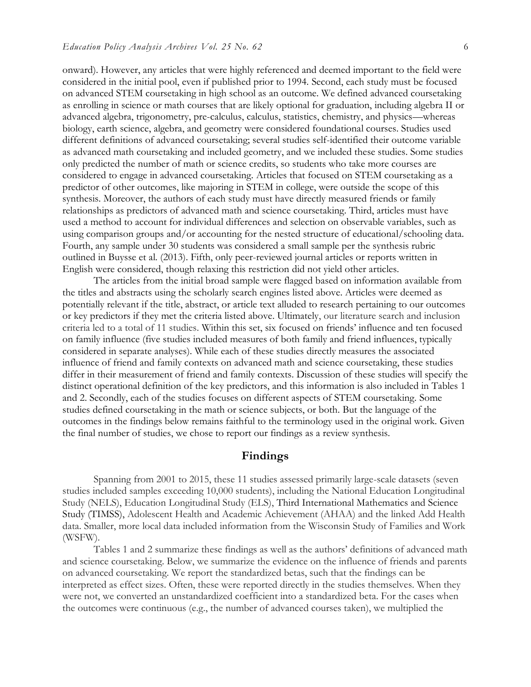onward). However, any articles that were highly referenced and deemed important to the field were considered in the initial pool, even if published prior to 1994. Second, each study must be focused on advanced STEM coursetaking in high school as an outcome. We defined advanced coursetaking as enrolling in science or math courses that are likely optional for graduation, including algebra II or advanced algebra, trigonometry, pre-calculus, calculus, statistics, chemistry, and physics—whereas biology, earth science, algebra, and geometry were considered foundational courses. Studies used different definitions of advanced coursetaking; several studies self-identified their outcome variable as advanced math coursetaking and included geometry, and we included these studies. Some studies only predicted the number of math or science credits, so students who take more courses are considered to engage in advanced coursetaking. Articles that focused on STEM coursetaking as a predictor of other outcomes, like majoring in STEM in college, were outside the scope of this synthesis. Moreover, the authors of each study must have directly measured friends or family relationships as predictors of advanced math and science coursetaking. Third, articles must have used a method to account for individual differences and selection on observable variables, such as using comparison groups and/or accounting for the nested structure of educational/schooling data. Fourth, any sample under 30 students was considered a small sample per the synthesis rubric outlined in Buysse et al. (2013). Fifth, only peer-reviewed journal articles or reports written in English were considered, though relaxing this restriction did not yield other articles.

The articles from the initial broad sample were flagged based on information available from the titles and abstracts using the scholarly search engines listed above. Articles were deemed as potentially relevant if the title, abstract, or article text alluded to research pertaining to our outcomes or key predictors if they met the criteria listed above. Ultimately, our literature search and inclusion criteria led to a total of 11 studies. Within this set, six focused on friends' influence and ten focused on family influence (five studies included measures of both family and friend influences, typically considered in separate analyses). While each of these studies directly measures the associated influence of friend and family contexts on advanced math and science coursetaking, these studies differ in their measurement of friend and family contexts. Discussion of these studies will specify the distinct operational definition of the key predictors, and this information is also included in Tables 1 and 2. Secondly, each of the studies focuses on different aspects of STEM coursetaking. Some studies defined coursetaking in the math or science subjects, or both. But the language of the outcomes in the findings below remains faithful to the terminology used in the original work. Given the final number of studies, we chose to report our findings as a review synthesis.

#### **Findings**

Spanning from 2001 to 2015, these 11 studies assessed primarily large-scale datasets (seven studies included samples exceeding 10,000 students), including the National Education Longitudinal Study (NELS), Education Longitudinal Study (ELS), Third International Mathematics and Science Study (TIMSS), Adolescent Health and Academic Achievement (AHAA) and the linked Add Health data. Smaller, more local data included information from the Wisconsin Study of Families and Work (WSFW).

Tables 1 and 2 summarize these findings as well as the authors' definitions of advanced math and science coursetaking. Below, we summarize the evidence on the influence of friends and parents on advanced coursetaking. We report the standardized betas, such that the findings can be interpreted as effect sizes. Often, these were reported directly in the studies themselves. When they were not, we converted an unstandardized coefficient into a standardized beta. For the cases when the outcomes were continuous (e.g., the number of advanced courses taken), we multiplied the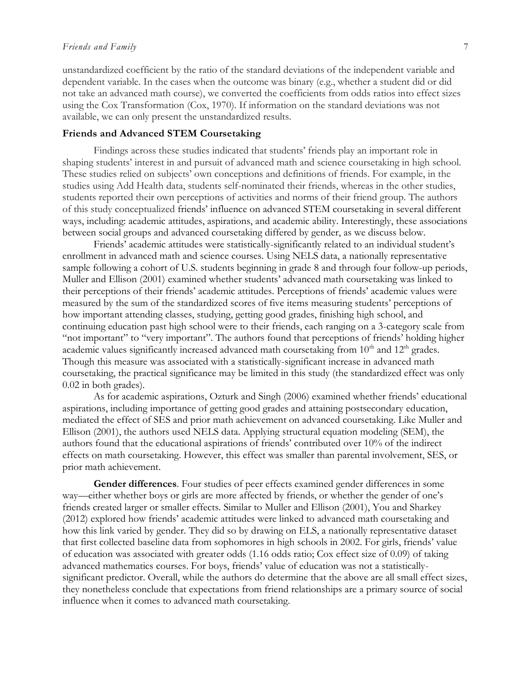#### *Friends and Family* 7

unstandardized coefficient by the ratio of the standard deviations of the independent variable and dependent variable. In the cases when the outcome was binary (e.g., whether a student did or did not take an advanced math course), we converted the coefficients from odds ratios into effect sizes using the Cox Transformation (Cox, 1970). If information on the standard deviations was not available, we can only present the unstandardized results.

#### **Friends and Advanced STEM Coursetaking**

Findings across these studies indicated that students' friends play an important role in shaping students' interest in and pursuit of advanced math and science coursetaking in high school. These studies relied on subjects' own conceptions and definitions of friends. For example, in the studies using Add Health data, students self-nominated their friends, whereas in the other studies, students reported their own perceptions of activities and norms of their friend group. The authors of this study conceptualized friends' influence on advanced STEM coursetaking in several different ways, including: academic attitudes, aspirations, and academic ability. Interestingly, these associations between social groups and advanced coursetaking differed by gender, as we discuss below.

Friends' academic attitudes were statistically-significantly related to an individual student's enrollment in advanced math and science courses. Using NELS data, a nationally representative sample following a cohort of U.S. students beginning in grade 8 and through four follow-up periods, Muller and Ellison (2001) examined whether students' advanced math coursetaking was linked to their perceptions of their friends' academic attitudes. Perceptions of friends' academic values were measured by the sum of the standardized scores of five items measuring students' perceptions of how important attending classes, studying, getting good grades, finishing high school, and continuing education past high school were to their friends, each ranging on a 3-category scale from "not important" to "very important". The authors found that perceptions of friends' holding higher academic values significantly increased advanced math coursetaking from  $10<sup>th</sup>$  and  $12<sup>th</sup>$  grades. Though this measure was associated with a statistically-significant increase in advanced math coursetaking, the practical significance may be limited in this study (the standardized effect was only 0.02 in both grades).

As for academic aspirations, Ozturk and Singh (2006) examined whether friends' educational aspirations, including importance of getting good grades and attaining postsecondary education, mediated the effect of SES and prior math achievement on advanced coursetaking. Like Muller and Ellison (2001), the authors used NELS data. Applying structural equation modeling (SEM), the authors found that the educational aspirations of friends' contributed over 10% of the indirect effects on math coursetaking. However, this effect was smaller than parental involvement, SES, or prior math achievement.

**Gender differences**. Four studies of peer effects examined gender differences in some way—either whether boys or girls are more affected by friends, or whether the gender of one's friends created larger or smaller effects. Similar to Muller and Ellison (2001), You and Sharkey (2012) explored how friends' academic attitudes were linked to advanced math coursetaking and how this link varied by gender. They did so by drawing on ELS, a nationally representative dataset that first collected baseline data from sophomores in high schools in 2002. For girls, friends' value of education was associated with greater odds (1.16 odds ratio; Cox effect size of 0.09) of taking advanced mathematics courses. For boys, friends' value of education was not a statisticallysignificant predictor. Overall, while the authors do determine that the above are all small effect sizes, they nonetheless conclude that expectations from friend relationships are a primary source of social influence when it comes to advanced math coursetaking.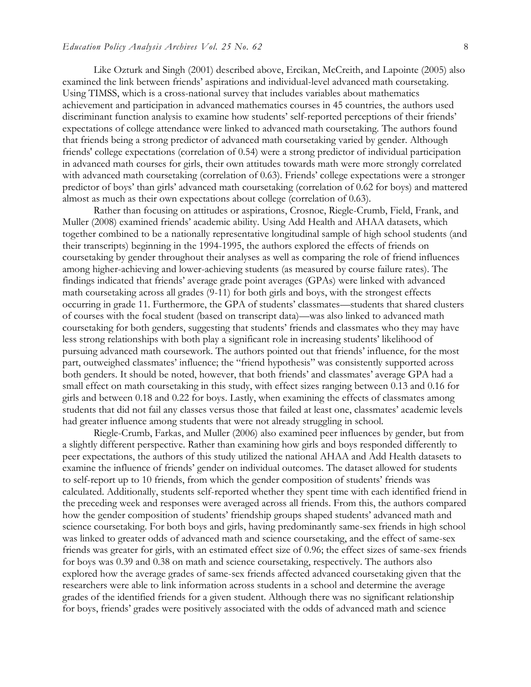Like Ozturk and Singh (2001) described above, Ercikan, McCreith, and Lapointe (2005) also examined the link between friends' aspirations and individual-level advanced math coursetaking. Using TIMSS, which is a cross-national survey that includes variables about mathematics achievement and participation in advanced mathematics courses in 45 countries, the authors used discriminant function analysis to examine how students' self-reported perceptions of their friends' expectations of college attendance were linked to advanced math coursetaking. The authors found that friends being a strong predictor of advanced math coursetaking varied by gender. Although friends' college expectations (correlation of 0.54) were a strong predictor of individual participation in advanced math courses for girls, their own attitudes towards math were more strongly correlated with advanced math coursetaking (correlation of 0.63). Friends' college expectations were a stronger predictor of boys' than girls' advanced math coursetaking (correlation of 0.62 for boys) and mattered almost as much as their own expectations about college (correlation of 0.63).

Rather than focusing on attitudes or aspirations, Crosnoe, Riegle-Crumb, Field, Frank, and Muller (2008) examined friends' academic ability. Using Add Health and AHAA datasets, which together combined to be a nationally representative longitudinal sample of high school students (and their transcripts) beginning in the 1994-1995, the authors explored the effects of friends on coursetaking by gender throughout their analyses as well as comparing the role of friend influences among higher-achieving and lower-achieving students (as measured by course failure rates). The findings indicated that friends' average grade point averages (GPAs) were linked with advanced math coursetaking across all grades (9-11) for both girls and boys, with the strongest effects occurring in grade 11. Furthermore, the GPA of students' classmates—students that shared clusters of courses with the focal student (based on transcript data)—was also linked to advanced math coursetaking for both genders, suggesting that students' friends and classmates who they may have less strong relationships with both play a significant role in increasing students' likelihood of pursuing advanced math coursework. The authors pointed out that friends' influence, for the most part, outweighed classmates' influence; the "friend hypothesis" was consistently supported across both genders. It should be noted, however, that both friends' and classmates' average GPA had a small effect on math coursetaking in this study, with effect sizes ranging between 0.13 and 0.16 for girls and between 0.18 and 0.22 for boys. Lastly, when examining the effects of classmates among students that did not fail any classes versus those that failed at least one, classmates' academic levels had greater influence among students that were not already struggling in school.

Riegle-Crumb, Farkas, and Muller (2006) also examined peer influences by gender, but from a slightly different perspective. Rather than examining how girls and boys responded differently to peer expectations, the authors of this study utilized the national AHAA and Add Health datasets to examine the influence of friends' gender on individual outcomes. The dataset allowed for students to self-report up to 10 friends, from which the gender composition of students' friends was calculated. Additionally, students self-reported whether they spent time with each identified friend in the preceding week and responses were averaged across all friends. From this, the authors compared how the gender composition of students' friendship groups shaped students' advanced math and science coursetaking. For both boys and girls, having predominantly same-sex friends in high school was linked to greater odds of advanced math and science coursetaking, and the effect of same-sex friends was greater for girls, with an estimated effect size of 0.96; the effect sizes of same-sex friends for boys was 0.39 and 0.38 on math and science coursetaking, respectively. The authors also explored how the average grades of same-sex friends affected advanced coursetaking given that the researchers were able to link information across students in a school and determine the average grades of the identified friends for a given student. Although there was no significant relationship for boys, friends' grades were positively associated with the odds of advanced math and science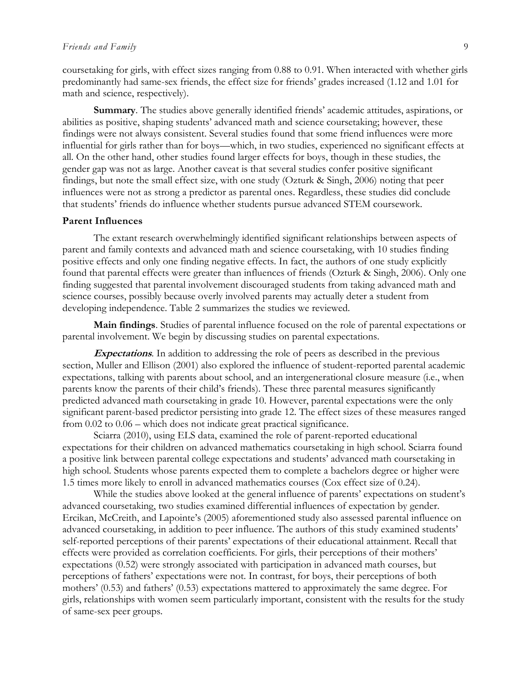coursetaking for girls, with effect sizes ranging from 0.88 to 0.91. When interacted with whether girls predominantly had same-sex friends, the effect size for friends' grades increased (1.12 and 1.01 for math and science, respectively).

**Summary**. The studies above generally identified friends' academic attitudes, aspirations, or abilities as positive, shaping students' advanced math and science coursetaking; however, these findings were not always consistent. Several studies found that some friend influences were more influential for girls rather than for boys—which, in two studies, experienced no significant effects at all. On the other hand, other studies found larger effects for boys, though in these studies, the gender gap was not as large. Another caveat is that several studies confer positive significant findings, but note the small effect size, with one study (Ozturk & Singh, 2006) noting that peer influences were not as strong a predictor as parental ones. Regardless, these studies did conclude that students' friends do influence whether students pursue advanced STEM coursework.

#### **Parent Influences**

The extant research overwhelmingly identified significant relationships between aspects of parent and family contexts and advanced math and science coursetaking, with 10 studies finding positive effects and only one finding negative effects. In fact, the authors of one study explicitly found that parental effects were greater than influences of friends (Ozturk & Singh, 2006). Only one finding suggested that parental involvement discouraged students from taking advanced math and science courses, possibly because overly involved parents may actually deter a student from developing independence. Table 2 summarizes the studies we reviewed.

**Main findings**. Studies of parental influence focused on the role of parental expectations or parental involvement. We begin by discussing studies on parental expectations.

**Expectations**. In addition to addressing the role of peers as described in the previous section, Muller and Ellison (2001) also explored the influence of student-reported parental academic expectations, talking with parents about school, and an intergenerational closure measure (i.e., when parents know the parents of their child's friends). These three parental measures significantly predicted advanced math coursetaking in grade 10. However, parental expectations were the only significant parent-based predictor persisting into grade 12. The effect sizes of these measures ranged from 0.02 to 0.06 – which does not indicate great practical significance.

Sciarra (2010), using ELS data, examined the role of parent-reported educational expectations for their children on advanced mathematics coursetaking in high school. Sciarra found a positive link between parental college expectations and students' advanced math coursetaking in high school. Students whose parents expected them to complete a bachelors degree or higher were 1.5 times more likely to enroll in advanced mathematics courses (Cox effect size of 0.24).

While the studies above looked at the general influence of parents' expectations on student's advanced coursetaking, two studies examined differential influences of expectation by gender. Ercikan, McCreith, and Lapointe's (2005) aforementioned study also assessed parental influence on advanced coursetaking, in addition to peer influence. The authors of this study examined students' self-reported perceptions of their parents' expectations of their educational attainment. Recall that effects were provided as correlation coefficients. For girls, their perceptions of their mothers' expectations (0.52) were strongly associated with participation in advanced math courses, but perceptions of fathers' expectations were not. In contrast, for boys, their perceptions of both mothers' (0.53) and fathers' (0.53) expectations mattered to approximately the same degree. For girls, relationships with women seem particularly important, consistent with the results for the study of same-sex peer groups.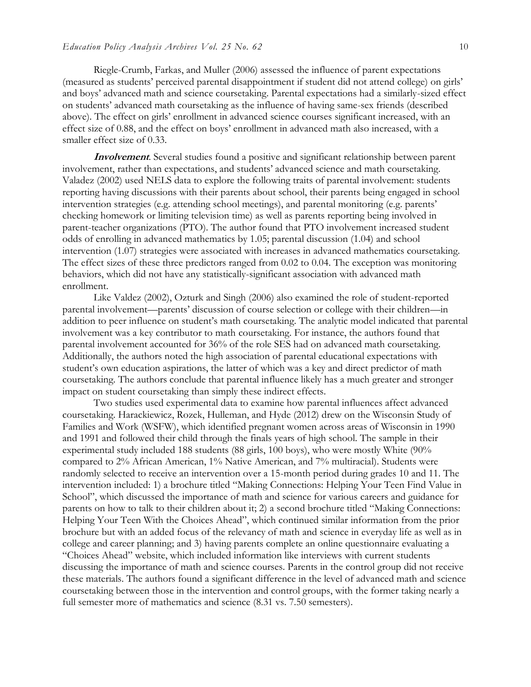Riegle-Crumb, Farkas, and Muller (2006) assessed the influence of parent expectations (measured as students' perceived parental disappointment if student did not attend college) on girls' and boys' advanced math and science coursetaking. Parental expectations had a similarly-sized effect on students' advanced math coursetaking as the influence of having same-sex friends (described above). The effect on girls' enrollment in advanced science courses significant increased, with an effect size of 0.88, and the effect on boys' enrollment in advanced math also increased, with a smaller effect size of 0.33.

**Involvement**. Several studies found a positive and significant relationship between parent involvement, rather than expectations, and students' advanced science and math coursetaking. Valadez (2002) used NELS data to explore the following traits of parental involvement: students reporting having discussions with their parents about school, their parents being engaged in school intervention strategies (e.g. attending school meetings), and parental monitoring (e.g. parents' checking homework or limiting television time) as well as parents reporting being involved in parent-teacher organizations (PTO). The author found that PTO involvement increased student odds of enrolling in advanced mathematics by 1.05; parental discussion (1.04) and school intervention (1.07) strategies were associated with increases in advanced mathematics coursetaking. The effect sizes of these three predictors ranged from 0.02 to 0.04. The exception was monitoring behaviors, which did not have any statistically-significant association with advanced math enrollment.

Like Valdez (2002), Ozturk and Singh (2006) also examined the role of student-reported parental involvement—parents' discussion of course selection or college with their children—in addition to peer influence on student's math coursetaking. The analytic model indicated that parental involvement was a key contributor to math coursetaking. For instance, the authors found that parental involvement accounted for 36% of the role SES had on advanced math coursetaking. Additionally, the authors noted the high association of parental educational expectations with student's own education aspirations, the latter of which was a key and direct predictor of math coursetaking. The authors conclude that parental influence likely has a much greater and stronger impact on student coursetaking than simply these indirect effects.

Two studies used experimental data to examine how parental influences affect advanced coursetaking. Harackiewicz, Rozek, Hulleman, and Hyde (2012) drew on the Wisconsin Study of Families and Work (WSFW), which identified pregnant women across areas of Wisconsin in 1990 and 1991 and followed their child through the finals years of high school. The sample in their experimental study included 188 students (88 girls, 100 boys), who were mostly White (90% compared to 2% African American, 1% Native American, and 7% multiracial). Students were randomly selected to receive an intervention over a 15-month period during grades 10 and 11. The intervention included: 1) a brochure titled "Making Connections: Helping Your Teen Find Value in School", which discussed the importance of math and science for various careers and guidance for parents on how to talk to their children about it; 2) a second brochure titled "Making Connections: Helping Your Teen With the Choices Ahead", which continued similar information from the prior brochure but with an added focus of the relevancy of math and science in everyday life as well as in college and career planning; and 3) having parents complete an online questionnaire evaluating a "Choices Ahead" website, which included information like interviews with current students discussing the importance of math and science courses. Parents in the control group did not receive these materials. The authors found a significant difference in the level of advanced math and science coursetaking between those in the intervention and control groups, with the former taking nearly a full semester more of mathematics and science (8.31 vs. 7.50 semesters).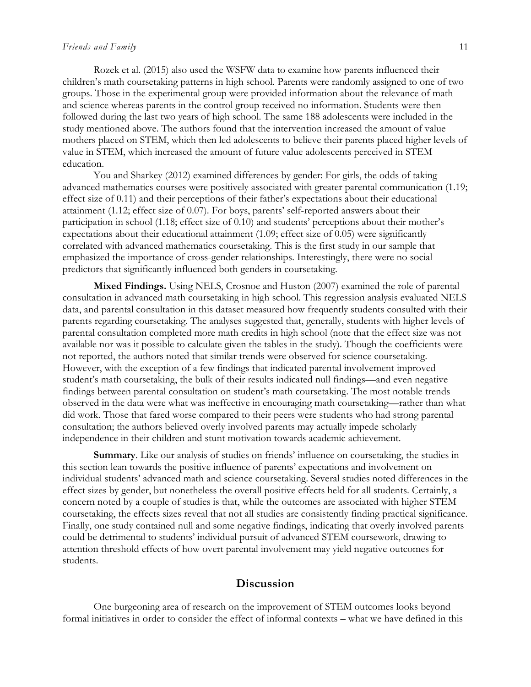#### *Friends and Family* 11

Rozek et al. (2015) also used the WSFW data to examine how parents influenced their children's math coursetaking patterns in high school. Parents were randomly assigned to one of two groups. Those in the experimental group were provided information about the relevance of math and science whereas parents in the control group received no information. Students were then followed during the last two years of high school. The same 188 adolescents were included in the study mentioned above. The authors found that the intervention increased the amount of value mothers placed on STEM, which then led adolescents to believe their parents placed higher levels of value in STEM, which increased the amount of future value adolescents perceived in STEM education.

You and Sharkey (2012) examined differences by gender: For girls, the odds of taking advanced mathematics courses were positively associated with greater parental communication (1.19; effect size of 0.11) and their perceptions of their father's expectations about their educational attainment (1.12; effect size of 0.07). For boys, parents' self-reported answers about their participation in school (1.18; effect size of 0.10) and students' perceptions about their mother's expectations about their educational attainment (1.09; effect size of 0.05) were significantly correlated with advanced mathematics coursetaking. This is the first study in our sample that emphasized the importance of cross-gender relationships. Interestingly, there were no social predictors that significantly influenced both genders in coursetaking.

**Mixed Findings.** Using NELS, Crosnoe and Huston (2007) examined the role of parental consultation in advanced math coursetaking in high school. This regression analysis evaluated NELS data, and parental consultation in this dataset measured how frequently students consulted with their parents regarding coursetaking. The analyses suggested that, generally, students with higher levels of parental consultation completed more math credits in high school (note that the effect size was not available nor was it possible to calculate given the tables in the study). Though the coefficients were not reported, the authors noted that similar trends were observed for science coursetaking. However, with the exception of a few findings that indicated parental involvement improved student's math coursetaking, the bulk of their results indicated null findings—and even negative findings between parental consultation on student's math coursetaking. The most notable trends observed in the data were what was ineffective in encouraging math coursetaking—rather than what did work. Those that fared worse compared to their peers were students who had strong parental consultation; the authors believed overly involved parents may actually impede scholarly independence in their children and stunt motivation towards academic achievement.

**Summary**. Like our analysis of studies on friends' influence on coursetaking, the studies in this section lean towards the positive influence of parents' expectations and involvement on individual students' advanced math and science coursetaking. Several studies noted differences in the effect sizes by gender, but nonetheless the overall positive effects held for all students. Certainly, a concern noted by a couple of studies is that, while the outcomes are associated with higher STEM coursetaking, the effects sizes reveal that not all studies are consistently finding practical significance. Finally, one study contained null and some negative findings, indicating that overly involved parents could be detrimental to students' individual pursuit of advanced STEM coursework, drawing to attention threshold effects of how overt parental involvement may yield negative outcomes for students.

# **Discussion**

One burgeoning area of research on the improvement of STEM outcomes looks beyond formal initiatives in order to consider the effect of informal contexts – what we have defined in this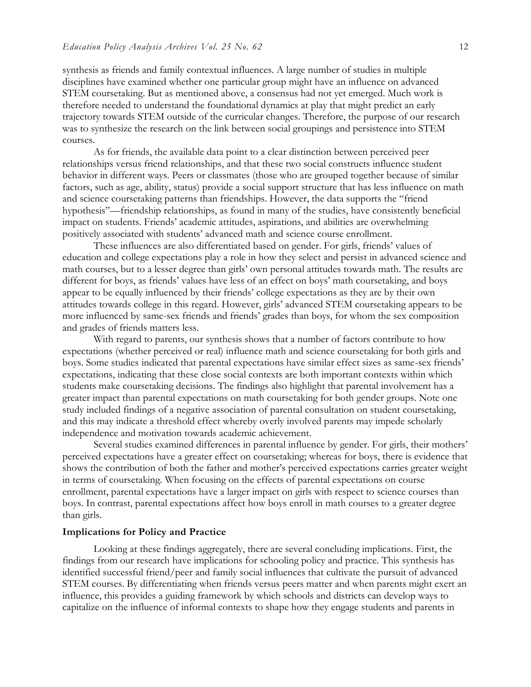synthesis as friends and family contextual influences. A large number of studies in multiple disciplines have examined whether one particular group might have an influence on advanced STEM coursetaking. But as mentioned above, a consensus had not yet emerged. Much work is therefore needed to understand the foundational dynamics at play that might predict an early trajectory towards STEM outside of the curricular changes. Therefore, the purpose of our research was to synthesize the research on the link between social groupings and persistence into STEM courses.

As for friends, the available data point to a clear distinction between perceived peer relationships versus friend relationships, and that these two social constructs influence student behavior in different ways. Peers or classmates (those who are grouped together because of similar factors, such as age, ability, status) provide a social support structure that has less influence on math and science coursetaking patterns than friendships. However, the data supports the "friend hypothesis"—friendship relationships, as found in many of the studies, have consistently beneficial impact on students. Friends' academic attitudes, aspirations, and abilities are overwhelming positively associated with students' advanced math and science course enrollment.

These influences are also differentiated based on gender. For girls, friends' values of education and college expectations play a role in how they select and persist in advanced science and math courses, but to a lesser degree than girls' own personal attitudes towards math. The results are different for boys, as friends' values have less of an effect on boys' math coursetaking, and boys appear to be equally influenced by their friends' college expectations as they are by their own attitudes towards college in this regard. However, girls' advanced STEM coursetaking appears to be more influenced by same-sex friends and friends' grades than boys, for whom the sex composition and grades of friends matters less.

With regard to parents, our synthesis shows that a number of factors contribute to how expectations (whether perceived or real) influence math and science coursetaking for both girls and boys. Some studies indicated that parental expectations have similar effect sizes as same-sex friends' expectations, indicating that these close social contexts are both important contexts within which students make coursetaking decisions. The findings also highlight that parental involvement has a greater impact than parental expectations on math coursetaking for both gender groups. Note one study included findings of a negative association of parental consultation on student coursetaking, and this may indicate a threshold effect whereby overly involved parents may impede scholarly independence and motivation towards academic achievement.

Several studies examined differences in parental influence by gender. For girls, their mothers' perceived expectations have a greater effect on coursetaking; whereas for boys, there is evidence that shows the contribution of both the father and mother's perceived expectations carries greater weight in terms of coursetaking. When focusing on the effects of parental expectations on course enrollment, parental expectations have a larger impact on girls with respect to science courses than boys. In contrast, parental expectations affect how boys enroll in math courses to a greater degree than girls.

#### **Implications for Policy and Practice**

Looking at these findings aggregately, there are several concluding implications. First, the findings from our research have implications for schooling policy and practice. This synthesis has identified successful friend/peer and family social influences that cultivate the pursuit of advanced STEM courses. By differentiating when friends versus peers matter and when parents might exert an influence, this provides a guiding framework by which schools and districts can develop ways to capitalize on the influence of informal contexts to shape how they engage students and parents in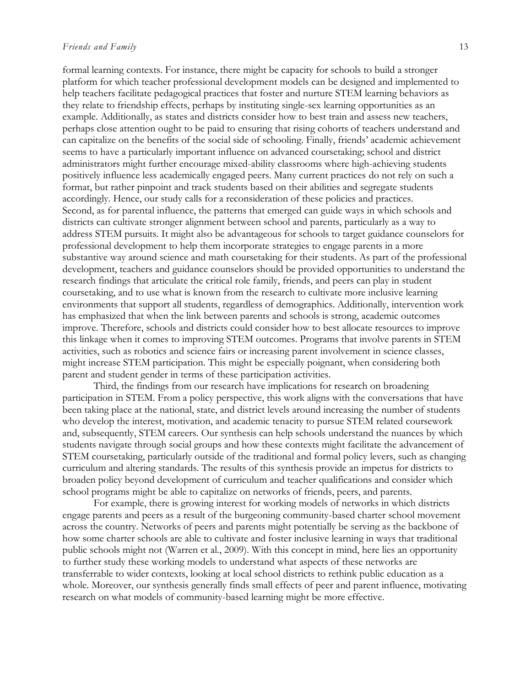#### *Friends and Family* 13

formal learning contexts. For instance, there might be capacity for schools to build a stronger platform for which teacher professional development models can be designed and implemented to help teachers facilitate pedagogical practices that foster and nurture STEM learning behaviors as they relate to friendship effects, perhaps by instituting single-sex learning opportunities as an example. Additionally, as states and districts consider how to best train and assess new teachers, perhaps close attention ought to be paid to ensuring that rising cohorts of teachers understand and can capitalize on the benefits of the social side of schooling. Finally, friends' academic achievement seems to have a particularly important influence on advanced coursetaking; school and district administrators might further encourage mixed-ability classrooms where high-achieving students positively influence less academically engaged peers. Many current practices do not rely on such a format, but rather pinpoint and track students based on their abilities and segregate students accordingly. Hence, our study calls for a reconsideration of these policies and practices. Second, as for parental influence, the patterns that emerged can guide ways in which schools and districts can cultivate stronger alignment between school and parents, particularly as a way to address STEM pursuits. It might also be advantageous for schools to target guidance counselors for professional development to help them incorporate strategies to engage parents in a more substantive way around science and math coursetaking for their students. As part of the professional development, teachers and guidance counselors should be provided opportunities to understand the research findings that articulate the critical role family, friends, and peers can play in student coursetaking, and to use what is known from the research to cultivate more inclusive learning environments that support all students, regardless of demographics. Additionally, intervention work has emphasized that when the link between parents and schools is strong, academic outcomes improve. Therefore, schools and districts could consider how to best allocate resources to improve this linkage when it comes to improving STEM outcomes. Programs that involve parents in STEM activities, such as robotics and science fairs or increasing parent involvement in science classes, might increase STEM participation. This might be especially poignant, when considering both parent and student gender in terms of these participation activities.

Third, the findings from our research have implications for research on broadening participation in STEM. From a policy perspective, this work aligns with the conversations that have been taking place at the national, state, and district levels around increasing the number of students who develop the interest, motivation, and academic tenacity to pursue STEM related coursework and, subsequently, STEM careers. Our synthesis can help schools understand the nuances by which students navigate through social groups and how these contexts might facilitate the advancement of STEM coursetaking, particularly outside of the traditional and formal policy levers, such as changing curriculum and altering standards. The results of this synthesis provide an impetus for districts to broaden policy beyond development of curriculum and teacher qualifications and consider which school programs might be able to capitalize on networks of friends, peers, and parents.

For example, there is growing interest for working models of networks in which districts engage parents and peers as a result of the burgeoning community-based charter school movement across the country. Networks of peers and parents might potentially be serving as the backbone of how some charter schools are able to cultivate and foster inclusive learning in ways that traditional public schools might not (Warren et al., 2009). With this concept in mind, here lies an opportunity to further study these working models to understand what aspects of these networks are transferrable to wider contexts, looking at local school districts to rethink public education as a whole. Moreover, our synthesis generally finds small effects of peer and parent influence, motivating research on what models of community-based learning might be more effective.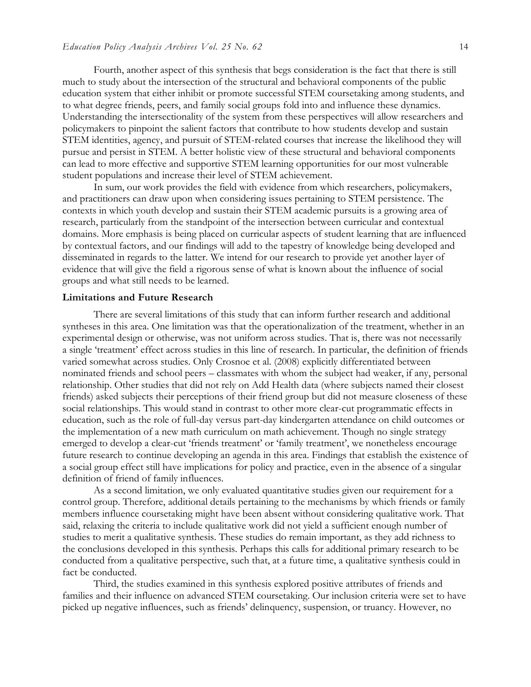Fourth, another aspect of this synthesis that begs consideration is the fact that there is still much to study about the intersection of the structural and behavioral components of the public education system that either inhibit or promote successful STEM coursetaking among students, and to what degree friends, peers, and family social groups fold into and influence these dynamics. Understanding the intersectionality of the system from these perspectives will allow researchers and policymakers to pinpoint the salient factors that contribute to how students develop and sustain STEM identities, agency, and pursuit of STEM-related courses that increase the likelihood they will pursue and persist in STEM. A better holistic view of these structural and behavioral components can lead to more effective and supportive STEM learning opportunities for our most vulnerable student populations and increase their level of STEM achievement.

In sum, our work provides the field with evidence from which researchers, policymakers, and practitioners can draw upon when considering issues pertaining to STEM persistence. The contexts in which youth develop and sustain their STEM academic pursuits is a growing area of research, particularly from the standpoint of the intersection between curricular and contextual domains. More emphasis is being placed on curricular aspects of student learning that are influenced by contextual factors, and our findings will add to the tapestry of knowledge being developed and disseminated in regards to the latter. We intend for our research to provide yet another layer of evidence that will give the field a rigorous sense of what is known about the influence of social groups and what still needs to be learned.

#### **Limitations and Future Research**

There are several limitations of this study that can inform further research and additional syntheses in this area. One limitation was that the operationalization of the treatment, whether in an experimental design or otherwise, was not uniform across studies. That is, there was not necessarily a single 'treatment' effect across studies in this line of research. In particular, the definition of friends varied somewhat across studies. Only Crosnoe et al. (2008) explicitly differentiated between nominated friends and school peers – classmates with whom the subject had weaker, if any, personal relationship. Other studies that did not rely on Add Health data (where subjects named their closest friends) asked subjects their perceptions of their friend group but did not measure closeness of these social relationships. This would stand in contrast to other more clear-cut programmatic effects in education, such as the role of full-day versus part-day kindergarten attendance on child outcomes or the implementation of a new math curriculum on math achievement. Though no single strategy emerged to develop a clear-cut 'friends treatment' or 'family treatment', we nonetheless encourage future research to continue developing an agenda in this area. Findings that establish the existence of a social group effect still have implications for policy and practice, even in the absence of a singular definition of friend of family influences.

As a second limitation, we only evaluated quantitative studies given our requirement for a control group. Therefore, additional details pertaining to the mechanisms by which friends or family members influence coursetaking might have been absent without considering qualitative work. That said, relaxing the criteria to include qualitative work did not yield a sufficient enough number of studies to merit a qualitative synthesis. These studies do remain important, as they add richness to the conclusions developed in this synthesis. Perhaps this calls for additional primary research to be conducted from a qualitative perspective, such that, at a future time, a qualitative synthesis could in fact be conducted.

Third, the studies examined in this synthesis explored positive attributes of friends and families and their influence on advanced STEM coursetaking. Our inclusion criteria were set to have picked up negative influences, such as friends' delinquency, suspension, or truancy. However, no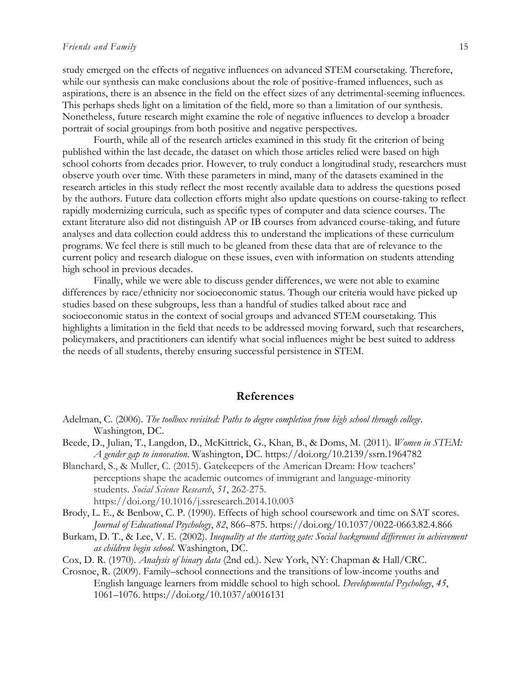#### *Friends and Family* 15

study emerged on the effects of negative influences on advanced STEM coursetaking. Therefore, while our synthesis can make conclusions about the role of positive-framed influences, such as aspirations, there is an absence in the field on the effect sizes of any detrimental-seeming influences. This perhaps sheds light on a limitation of the field, more so than a limitation of our synthesis. Nonetheless, future research might examine the role of negative influences to develop a broader portrait of social groupings from both positive and negative perspectives.

Fourth, while all of the research articles examined in this study fit the criterion of being published within the last decade, the dataset on which those articles relied were based on high school cohorts from decades prior. However, to truly conduct a longitudinal study, researchers must observe youth over time. With these parameters in mind, many of the datasets examined in the research articles in this study reflect the most recently available data to address the questions posed by the authors. Future data collection efforts might also update questions on course-taking to reflect rapidly modernizing curricula, such as specific types of computer and data science courses. The extant literature also did not distinguish AP or IB courses from advanced course-taking, and future analyses and data collection could address this to understand the implications of these curriculum programs. We feel there is still much to be gleaned from these data that are of relevance to the current policy and research dialogue on these issues, even with information on students attending high school in previous decades.

Finally, while we were able to discuss gender differences, we were not able to examine differences by race/ethnicity nor socioeconomic status. Though our criteria would have picked up studies based on these subgroups, less than a handful of studies talked about race and socioeconomic status in the context of social groups and advanced STEM coursetaking. This highlights a limitation in the field that needs to be addressed moving forward, such that researchers, policymakers, and practitioners can identify what social influences might be best suited to address the needs of all students, thereby ensuring successful persistence in STEM.

#### **References**

- Adelman, C. (2006). *The toolbox revisited: Paths to degree completion from high school through college*. Washington, DC.
- Beede, D., Julian, T., Langdon, D., McKittrick, G., Khan, B., & Doms, M. (2011). *Women in STEM: A gender gap to innovation*. Washington, DC. https://doi.org/10.2139/ssrn.1964782
- Blanchard, S., & Muller, C. (2015). Gatekeepers of the American Dream: How teachers' perceptions shape the academic outcomes of immigrant and language-minority students. *Social Science Research*, *51*, 262-275. https://doi.org/10.1016/j.ssresearch.2014.10.003
- Brody, L. E., & Benbow, C. P. (1990). Effects of high school coursework and time on SAT scores. *Journal of Educational Psychology*, *82*, 866–875. https://doi.org/10.1037/0022-0663.82.4.866
- Burkam, D. T., & Lee, V. E. (2002). *Inequality at the starting gate: Social background differences in achievement as children begin school*. Washington, DC.
- Cox, D. R. (1970). *Analysis of binary data* (2nd ed.). New York, NY: Chapman & Hall/CRC.
- Crosnoe, R. (2009). Family–school connections and the transitions of low-income youths and English language learners from middle school to high school. *Developmental Psychology*, *45*, 1061–1076. https://doi.org/10.1037/a0016131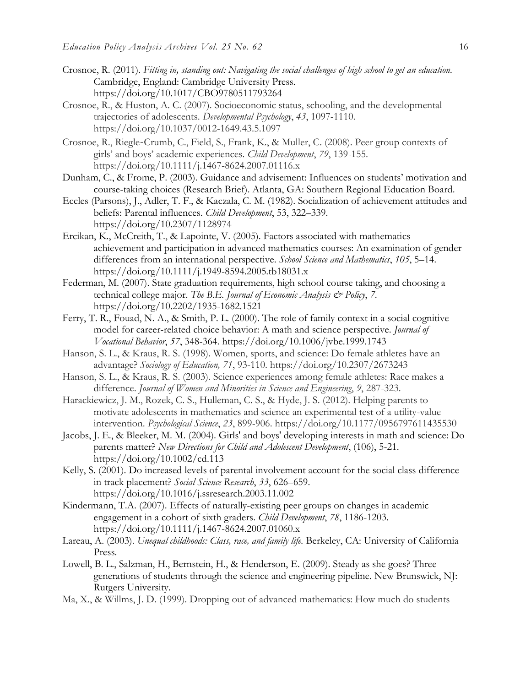- Crosnoe, R. (2011). *Fitting in, standing out: Navigating the social challenges of high school to get an education.* Cambridge, England: Cambridge University Press. https://doi.org/10.1017/CBO9780511793264
- Crosnoe, R., & Huston, A. C. (2007). Socioeconomic status, schooling, and the developmental trajectories of adolescents. *Developmental Psychology*, *43*, 1097-1110. https://doi.org/10.1037/0012-1649.43.5.1097
- Crosnoe, R., Riegle‐Crumb, C., Field, S., Frank, K., & Muller, C. (2008). Peer group contexts of girls' and boys' academic experiences. *Child Development*, *79*, 139-155. https://doi.org/10.1111/j.1467-8624.2007.01116.x
- Dunham, C., & Frome, P. (2003). Guidance and advisement: Influences on students' motivation and course-taking choices (Research Brief). Atlanta, GA: Southern Regional Education Board.
- Eccles (Parsons), J., Adler, T. F., & Kaczala, C. M. (1982). Socialization of achievement attitudes and beliefs: Parental influences*. Child Development*, 53, 322–339. https://doi.org/10.2307/1128974
- Ercikan, K., McCreith, T., & Lapointe, V. (2005). Factors associated with mathematics achievement and participation in advanced mathematics courses: An examination of gender differences from an international perspective. *School Science and Mathematics*, *105*, 5–14. https://doi.org/10.1111/j.1949-8594.2005.tb18031.x
- Federman, M. (2007). State graduation requirements, high school course taking, and choosing a technical college major. *The B.E. Journal of Economic Analysis & Policy*, *7*. https://doi.org/10.2202/1935-1682.1521
- Ferry, T. R., Fouad, N. A., & Smith, P. L. (2000). The role of family context in a social cognitive model for career-related choice behavior: A math and science perspective. *Journal of Vocational Behavior*, *57*, 348-364. https://doi.org/10.1006/jvbe.1999.1743
- Hanson, S. L., & Kraus, R. S. (1998). Women, sports, and science: Do female athletes have an advantage? *Sociology of Education, 71*, 93-110. https://doi.org/10.2307/2673243
- Hanson, S. L., & Kraus, R. S. (2003). Science experiences among female athletes: Race makes a difference. *Journal of Women and Minorities in Science and Engineering*, *9*, 287-323.
- Harackiewicz, J. M., Rozek, C. S., Hulleman, C. S., & Hyde, J. S. (2012). Helping parents to motivate adolescents in mathematics and science an experimental test of a utility-value intervention. *Psychological Science*, *23*, 899-906. https://doi.org/10.1177/0956797611435530
- Jacobs, J. E., & Bleeker, M. M. (2004). Girls' and boys' developing interests in math and science: Do parents matter? *New Directions for Child and Adolescent Development*, (106), 5-21. https://doi.org/10.1002/cd.113
- Kelly, S. (2001). Do increased levels of parental involvement account for the social class difference in track placement? *Social Science Research*, *33*, 626–659. https://doi.org/10.1016/j.ssresearch.2003.11.002
- Kindermann, T.A. (2007). Effects of naturally-existing peer groups on changes in academic engagement in a cohort of sixth graders. *Child Development*, *78*, 1186-1203. https://doi.org/10.1111/j.1467-8624.2007.01060.x
- Lareau, A. (2003). *Unequal childhoods: Class, race, and family life.* Berkeley, CA: University of California Press.
- Lowell, B. L., Salzman, H., Bernstein, H., & Henderson, E. (2009). Steady as she goes? Three generations of students through the science and engineering pipeline. New Brunswick, NJ: Rutgers University.
- Ma, X., & Willms, J. D. (1999). Dropping out of advanced mathematics: How much do students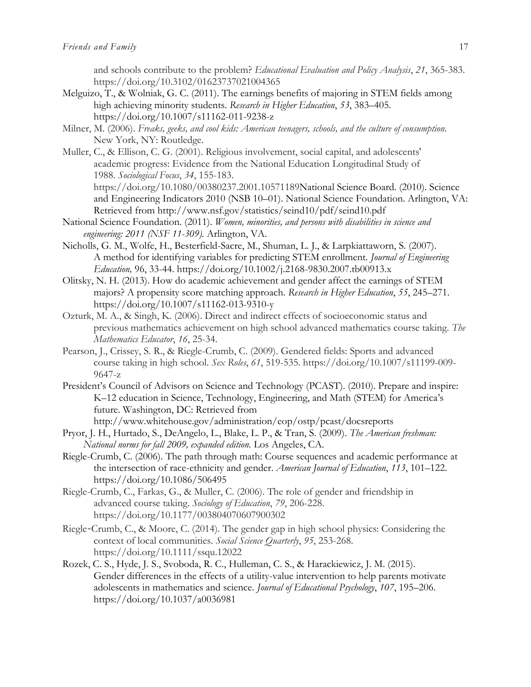and schools contribute to the problem? *Educational Evaluation and Policy Analysis*, *21*, 365-383. https://doi.org/10.3102/01623737021004365

- Melguizo, T., & Wolniak, G. C. (2011). The earnings benefits of majoring in STEM fields among high achieving minority students. *Research in Higher Education*, *53*, 383–405. https://doi.org/10.1007/s11162-011-9238-z
- Milner, M. (2006). *Freaks, geeks, and cool kids: American teenagers, schools, and the culture of consumption.* New York, NY: Routledge.
- Muller, C., & Ellison, C. G. (2001). Religious involvement, social capital, and adolescents' academic progress: Evidence from the National Education Longitudinal Study of 1988. *Sociological Focus*, *34*, 155-183. https://doi.org/10.1080/00380237.2001.10571189National Science Board. (2010). Science
	- and Engineering Indicators 2010 (NSB 10–01). National Science Foundation. Arlington, VA: Retrieved from http://www.nsf.gov/statistics/seind10/pdf/seind10.pdf
- National Science Foundation. (2011). *Women, minorities, and persons with disabilities in science and engineering: 2011 (NSF 11-309).* Arlington, VA.
- Nicholls, G. M., Wolfe, H., Besterfield-Sacre, M., Shuman, L. J., & Larpkiattaworn, S. (2007). A method for identifying variables for predicting STEM enrollment. *Journal of Engineering Education,* 96, 33-44. https://doi.org/10.1002/j.2168-9830.2007.tb00913.x
- Olitsky, N. H. (2013). How do academic achievement and gender affect the earnings of STEM majors? A propensity score matching approach. *Research in Higher Education*, *55*, 245–271. https://doi.org/10.1007/s11162-013-9310-y
- Ozturk, M. A., & Singh, K. (2006). Direct and indirect effects of socioeconomic status and previous mathematics achievement on high school advanced mathematics course taking. *The Mathematics Educator*, *16*, 25-34.
- Pearson, J., Crissey, S. R., & Riegle-Crumb, C. (2009). Gendered fields: Sports and advanced course taking in high school. *Sex Roles*, *61*, 519-535. https://doi.org/10.1007/s11199-009- 9647-z
- President's Council of Advisors on Science and Technology (PCAST). (2010). Prepare and inspire: K–12 education in Science, Technology, Engineering, and Math (STEM) for America's future. Washington, DC: Retrieved from http://www.whitehouse.gov/administration/eop/ostp/pcast/docsreports
- Pryor, J. H., Hurtado, S., DeAngelo, L., Blake, L. P., & Tran, S. (2009). *The American freshman: National norms for fall 2009, expanded edition.* Los Angeles, CA.
- Riegle-Crumb, C. (2006). The path through math: Course sequences and academic performance at the intersection of race-ethnicity and gender. *American Journal of Education*, *113*, 101–122. https://doi.org/10.1086/506495
- Riegle-Crumb, C., Farkas, G., & Muller, C. (2006). The role of gender and friendship in advanced course taking. *Sociology of Education*, *79*, 206-228. https://doi.org/10.1177/003804070607900302
- Riegle‐Crumb, C., & Moore, C. (2014). The gender gap in high school physics: Considering the context of local communities. *Social Science Quarterly*, *95*, 253-268. https://doi.org/10.1111/ssqu.12022
- Rozek, C. S., Hyde, J. S., Svoboda, R. C., Hulleman, C. S., & Harackiewicz, J. M. (2015). Gender differences in the effects of a utility-value intervention to help parents motivate adolescents in mathematics and science. *Journal of Educational Psychology*, *107*, 195–206. https://doi.org/10.1037/a0036981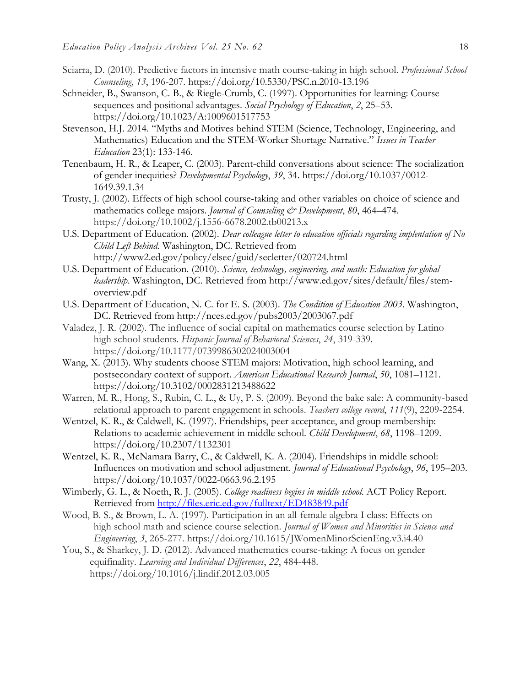- Sciarra, D. (2010). Predictive factors in intensive math course-taking in high school. *Professional School Counseling*, *13*, 196-207. https://doi.org/10.5330/PSC.n.2010-13.196
- Schneider, B., Swanson, C. B., & Riegle-Crumb, C. (1997). Opportunities for learning: Course sequences and positional advantages. *Social Psychology of Education*, *2*, 25–53. https://doi.org/10.1023/A:1009601517753
- Stevenson, H.J. 2014. "Myths and Motives behind STEM (Science, Technology, Engineering, and Mathematics) Education and the STEM-Worker Shortage Narrative." *Issues in Teacher Education* 23(1): 133-146.
- Tenenbaum, H. R., & Leaper, C. (2003). Parent-child conversations about science: The socialization of gender inequities? *Developmental Psychology*, *39*, 34. https://doi.org/10.1037/0012- 1649.39.1.34
- Trusty, J. (2002). Effects of high school course-taking and other variables on choice of science and mathematics college majors. *Journal of Counseling & Development*, 80, 464–474. https://doi.org/10.1002/j.1556-6678.2002.tb00213.x
- U.S. Department of Education. (2002). *Dear colleague letter to education officials regarding implentation of No Child Left Behind.* Washington, DC. Retrieved from http://www2.ed.gov/policy/elsec/guid/secletter/020724.html
- U.S. Department of Education. (2010). *Science, technology, engineering, and math: Education for global leadership*. Washington, DC. Retrieved from http://www.ed.gov/sites/default/files/stemoverview.pdf
- U.S. Department of Education, N. C. for E. S. (2003). *The Condition of Education 2003*. Washington, DC. Retrieved from http://nces.ed.gov/pubs2003/2003067.pdf
- Valadez, J. R. (2002). The influence of social capital on mathematics course selection by Latino high school students. *Hispanic Journal of Behavioral Sciences*, *24*, 319-339. https://doi.org/10.1177/0739986302024003004
- Wang, X. (2013). Why students choose STEM majors: Motivation, high school learning, and postsecondary context of support. *American Educational Research Journal*, *50*, 1081–1121. https://doi.org/10.3102/0002831213488622
- Warren, M. R., Hong, S., Rubin, C. L., & Uy, P. S. (2009). Beyond the bake sale: A community-based relational approach to parent engagement in schools. *Teachers college record*, *111*(9), 2209-2254.
- Wentzel, K. R., & Caldwell, K. (1997). Friendships, peer acceptance, and group membership: Relations to academic achievement in middle school. *Child Development*, *68*, 1198–1209. https://doi.org/10.2307/1132301
- Wentzel, K. R., McNamara Barry, C., & Caldwell, K. A. (2004). Friendships in middle school: Influences on motivation and school adjustment. *Journal of Educational Psychology*, *96*, 195–203. https://doi.org/10.1037/0022-0663.96.2.195
- Wimberly, G. L., & Noeth, R. J. (2005). *College readiness begins in middle school*. ACT Policy Report. Retrieved from<http://files.eric.ed.gov/fulltext/ED483849.pdf>
- Wood, B. S., & Brown, L. A. (1997). Participation in an all-female algebra I class: Effects on high school math and science course selection. *Journal of Women and Minorities in Science and Engineering*, *3*, 265-277. https://doi.org/10.1615/JWomenMinorScienEng.v3.i4.40
- You, S., & Sharkey, J. D. (2012). Advanced mathematics course-taking: A focus on gender equifinality. *Learning and Individual Differences*, *22*, 484-448. https://doi.org/10.1016/j.lindif.2012.03.005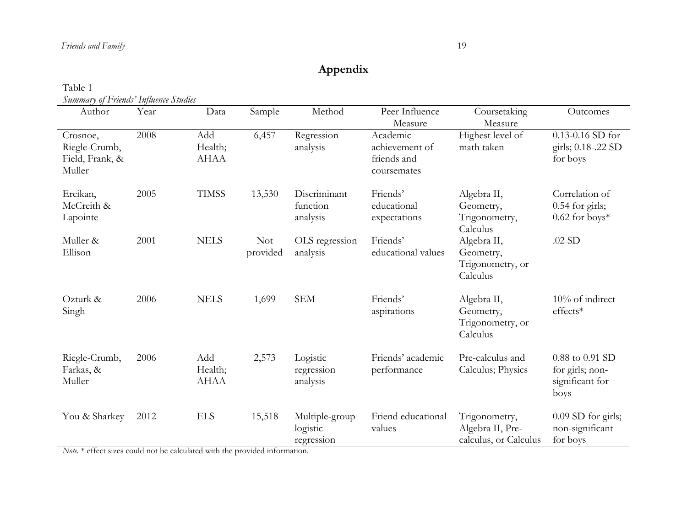# **Appendix**

| Table 1                               |  |
|---------------------------------------|--|
| Summary of Friends' Influence Studies |  |

| Author                                                                              | Year                            | Data                          | Sample                                      | Method                                   | Peer Influence<br>Measure                                | Coursetaking<br>Measure                                    | Outcomes                                                      |
|-------------------------------------------------------------------------------------|---------------------------------|-------------------------------|---------------------------------------------|------------------------------------------|----------------------------------------------------------|------------------------------------------------------------|---------------------------------------------------------------|
| Crosnoe,<br>Riegle-Crumb,<br>Field, Frank, &<br>Muller                              | 2008                            | Add<br>Health;<br><b>AHAA</b> | 6,457                                       | Regression<br>analysis                   | Academic<br>achievement of<br>friends and<br>coursemates | Highest level of<br>math taken                             | $0.13 - 0.16$ SD for<br>girls; 0.18-.22 SD<br>for boys        |
| Ercikan,<br>McCreith &<br>Lapointe                                                  | 2005                            | <b>TIMSS</b>                  | 13,530                                      | Discriminant<br>function<br>analysis     | Friends'<br>educational<br>expectations                  | Algebra II,<br>Geometry,<br>Trigonometry,<br>Calculus      | Correlation of<br>$0.54$ for girls;<br>$0.62$ for boys*       |
| Muller &<br>Ellison                                                                 | 2001                            | <b>NELS</b>                   | <b>Not</b><br>provided                      | OLS regression<br>analysis               | Friends'<br>educational values                           | Algebra II,<br>Geometry,<br>Trigonometry, or<br>Calculus   | $.02$ SD                                                      |
| Ozturk &<br>Singh                                                                   | 2006                            | <b>NELS</b>                   | 1,699                                       | <b>SEM</b>                               | Friends'<br>aspirations                                  | Algebra II,<br>Geometry,<br>Trigonometry, or<br>Calculus   | 10% of indirect<br>effects*                                   |
| Riegle-Crumb,<br>Farkas, &<br>Muller                                                | 2006                            | Add<br>Health;<br><b>AHAA</b> | 2,573                                       | Logistic<br>regression<br>analysis       | Friends' academic<br>performance                         | Pre-calculus and<br>Calculus; Physics                      | 0.88 to 0.91 SD<br>for girls; non-<br>significant for<br>boys |
| You & Sharkey<br>$\mathbf{M}$ $\rightarrow$ $\mathbf{C}$ $\rightarrow$ $\mathbf{C}$ | 2012<br>11<br>$1 \quad 1 \quad$ | <b>ELS</b><br>1.71.1          | 15,518<br>$\cdot$ 1 $\cdot$ $\cdot$ $\cdot$ | Multiple-group<br>logistic<br>regression | Friend educational<br>values                             | Trigonometry,<br>Algebra II, Pre-<br>calculus, or Calculus | 0.09 SD for girls;<br>non-significant<br>for boys             |

*Note.* \* effect sizes could not be calculated with the provided information.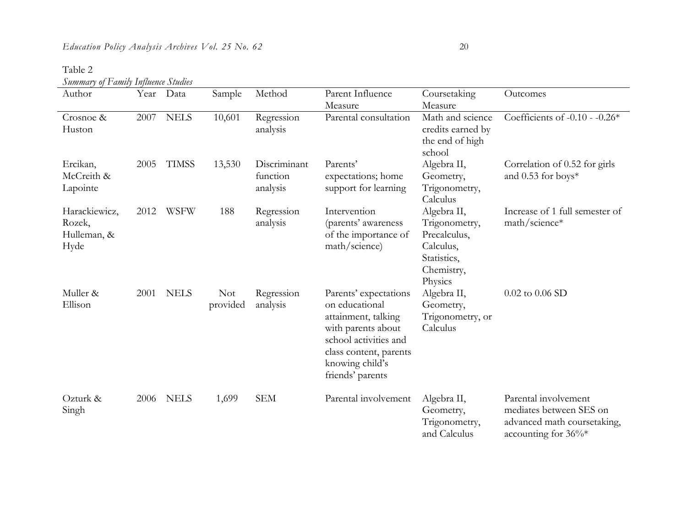Table 2

*Summary of Family Influence Studies*

| Summary of Lamuy Infinince Simules<br>Author   | Year | Data         | Sample           | Method                               | Parent Influence                                                                                                                                                               | Coursetaking                                                                                      | Outcomes                                                                                                 |
|------------------------------------------------|------|--------------|------------------|--------------------------------------|--------------------------------------------------------------------------------------------------------------------------------------------------------------------------------|---------------------------------------------------------------------------------------------------|----------------------------------------------------------------------------------------------------------|
|                                                |      |              |                  |                                      | Measure                                                                                                                                                                        | Measure                                                                                           |                                                                                                          |
| Crosnoe &<br>Huston                            | 2007 | <b>NELS</b>  | 10,601           | Regression<br>analysis               | Parental consultation                                                                                                                                                          | Math and science<br>credits earned by<br>the end of high<br>school                                | Coefficients of -0.10 - -0.26 $*$                                                                        |
| Ercikan,<br>McCreith &<br>Lapointe             | 2005 | <b>TIMSS</b> | 13,530           | Discriminant<br>function<br>analysis | Parents'<br>expectations; home<br>support for learning                                                                                                                         | Algebra II,<br>Geometry,<br>Trigonometry,<br>Calculus                                             | Correlation of 0.52 for girls<br>and 0.53 for boys*                                                      |
| Harackiewicz,<br>Rozek,<br>Hulleman, &<br>Hyde | 2012 | <b>WSFW</b>  | 188              | Regression<br>analysis               | Intervention<br>(parents' awareness<br>of the importance of<br>math/science)                                                                                                   | Algebra II,<br>Trigonometry,<br>Precalculus,<br>Calculus,<br>Statistics,<br>Chemistry,<br>Physics | Increase of 1 full semester of<br>math/science*                                                          |
| Muller &<br>Ellison                            | 2001 | <b>NELS</b>  | Not.<br>provided | Regression<br>analysis               | Parents' expectations<br>on educational<br>attainment, talking<br>with parents about<br>school activities and<br>class content, parents<br>knowing child's<br>friends' parents | Algebra II,<br>Geometry,<br>Trigonometry, or<br>Calculus                                          | $0.02$ to $0.06$ SD                                                                                      |
| Ozturk &<br>Singh                              | 2006 | <b>NELS</b>  | 1,699            | <b>SEM</b>                           | Parental involvement                                                                                                                                                           | Algebra II,<br>Geometry,<br>Trigonometry,<br>and Calculus                                         | Parental involvement<br>mediates between SES on<br>advanced math coursetaking,<br>accounting for $36\%*$ |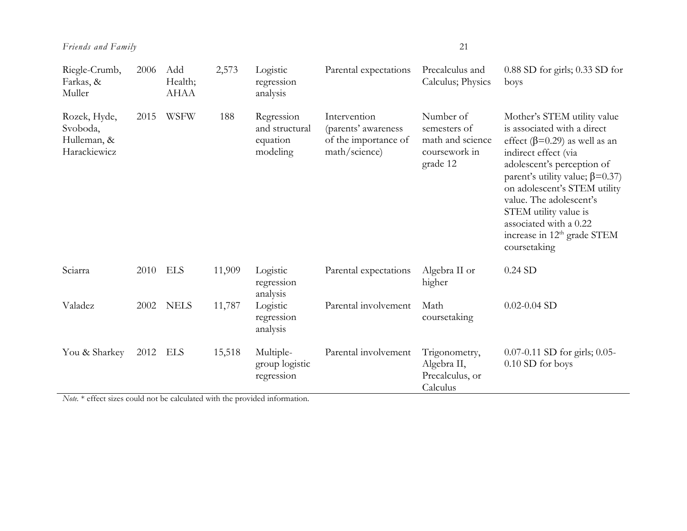| Riegle-Crumb,<br>Farkas, &<br>Muller                    | 2006 | Add<br>Health;<br><b>AHAA</b> | 2,573  | Logistic<br>regression<br>analysis                   | Parental expectations                                                        | Precalculus and<br>Calculus; Physics                                       | $0.88$ SD for girls; $0.33$ SD for<br>boys                                                                                                                                                                                                                                                                                                                                   |
|---------------------------------------------------------|------|-------------------------------|--------|------------------------------------------------------|------------------------------------------------------------------------------|----------------------------------------------------------------------------|------------------------------------------------------------------------------------------------------------------------------------------------------------------------------------------------------------------------------------------------------------------------------------------------------------------------------------------------------------------------------|
| Rozek, Hyde,<br>Svoboda,<br>Hulleman, &<br>Harackiewicz | 2015 | <b>WSFW</b>                   | 188    | Regression<br>and structural<br>equation<br>modeling | Intervention<br>(parents' awareness<br>of the importance of<br>math/science) | Number of<br>semesters of<br>math and science<br>coursework in<br>grade 12 | Mother's STEM utility value<br>is associated with a direct<br>effect ( $\beta$ =0.29) as well as an<br>indirect effect (via<br>adolescent's perception of<br>parent's utility value; $\beta$ =0.37)<br>on adolescent's STEM utility<br>value. The adolescent's<br>STEM utility value is<br>associated with a 0.22<br>increase in 12 <sup>th</sup> grade STEM<br>coursetaking |
| Sciarra                                                 | 2010 | ELS                           | 11,909 | Logistic<br>regression<br>analysis                   | Parental expectations                                                        | Algebra II or<br>higher                                                    | $0.24$ SD                                                                                                                                                                                                                                                                                                                                                                    |
| Valadez                                                 | 2002 | <b>NELS</b>                   | 11,787 | Logistic<br>regression<br>analysis                   | Parental involvement                                                         | Math<br>coursetaking                                                       | $0.02 - 0.04$ SD                                                                                                                                                                                                                                                                                                                                                             |
| You & Sharkey                                           | 2012 | ELS                           | 15,518 | Multiple-<br>group logistic<br>regression            | Parental involvement                                                         | Trigonometry,<br>Algebra II,<br>Precalculus, or<br>Calculus                | 0.07-0.11 SD for girls; 0.05-<br>0.10 SD for boys                                                                                                                                                                                                                                                                                                                            |

*Note.* \* effect sizes could not be calculated with the provided information.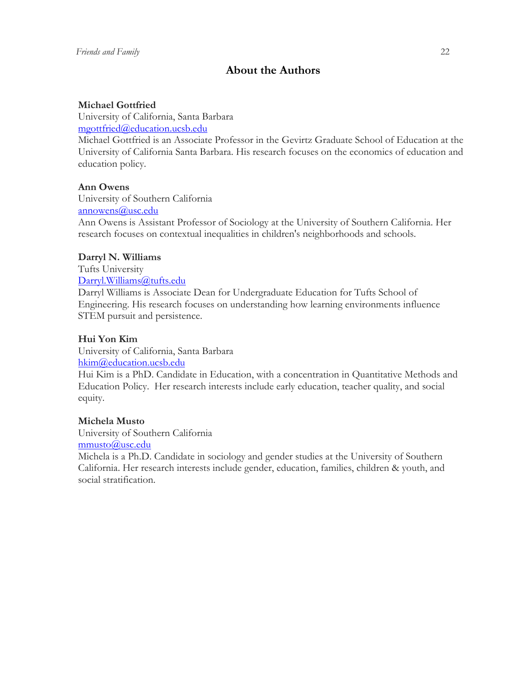# **About the Authors**

### **Michael Gottfried**

University of California, Santa Barbara [mgottfried@education.ucsb.edu](mailto:mgottfried@education.ucsb.edu)

Michael Gottfried is an Associate Professor in the Gevirtz Graduate School of Education at the University of California Santa Barbara. His research focuses on the economics of education and education policy.

# **Ann Owens**

University of Southern California [annowens@usc.edu](mailto:annowens@usc.edu)

Ann Owens is Assistant Professor of Sociology at the University of Southern California. Her research focuses on contextual inequalities in children's neighborhoods and schools.

### **Darryl N. Williams**

Tufts University [Darryl.Williams@tufts.edu](mailto:Darryl.Williams@tufts.edu)

Darryl Williams is Associate Dean for Undergraduate Education for Tufts School of Engineering. His research focuses on understanding how learning environments influence STEM pursuit and persistence.

# **Hui Yon Kim**

University of California, Santa Barbara [hkim@education.ucsb.edu](mailto:hkim@education.ucsb.edu)

Hui Kim is a PhD. Candidate in Education, with a concentration in Quantitative Methods and Education Policy. Her research interests include early education, teacher quality, and social equity.

### **Michela Musto**

University of Southern California [mmusto@usc.edu](mailto:mmusto@usc.edu)

Michela is a Ph.D. Candidate in sociology and gender studies at the University of Southern California. Her research interests include gender, education, families, children & youth, and social stratification.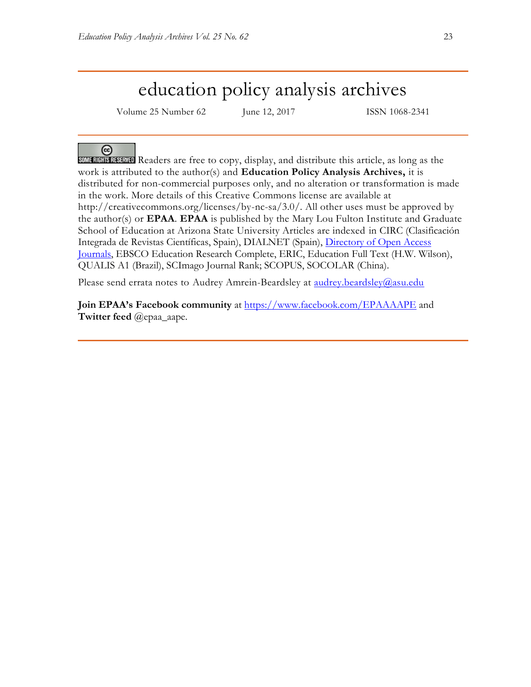# education policy analysis archives

Volume 25 Number 62 June 12, 2017 ISSN 1068-2341

 $\left($ 

Readers are free to copy, display, and distribute this article, as long as the work is attributed to the author(s) and **Education Policy Analysis Archives,** it is distributed for non-commercial purposes only, and no alteration or transformation is made in the work. More details of this Creative Commons license are available at http://creativecommons.org/licenses/by-nc-sa/3.0/. All other uses must be approved by the author(s) or **EPAA**. **EPAA** is published by the Mary Lou Fulton Institute and Graduate School of Education at Arizona State University Articles are indexed in CIRC (Clasificación Integrada de Revistas Científicas, Spain), DIALNET (Spain), [Directory of Open Access](http://www.doaj.org/)  [Journals,](http://www.doaj.org/) EBSCO Education Research Complete, ERIC, Education Full Text (H.W. Wilson), QUALIS A1 (Brazil), SCImago Journal Rank; SCOPUS, SOCOLAR (China).

Please send errata notes to Audrey Amrein-Beardsley at [audrey.beardsley@asu.edu](mailto:audrey.beardsley@asu.edu)

**Join EPAA's Facebook community** at<https://www.facebook.com/EPAAAAPE> and **Twitter feed** @epaa\_aape.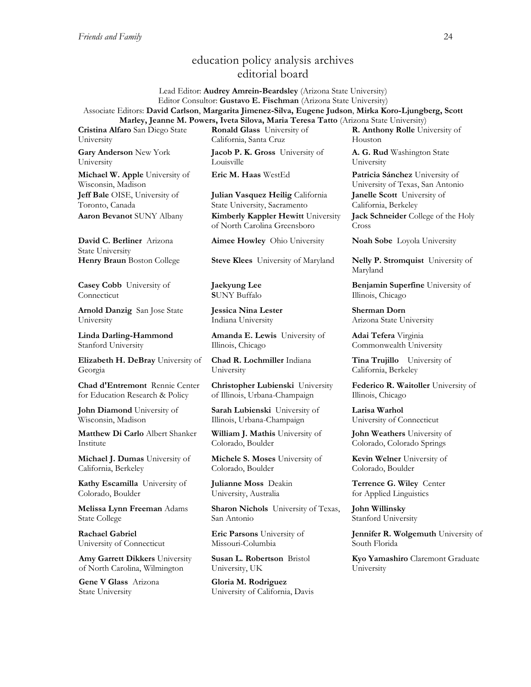# education policy analysis archives editorial board

#### Lead Editor: **Audrey Amrein-Beardsley** (Arizona State University) Editor Consultor: **Gustavo E. Fischman** (Arizona State University) Associate Editors: **David Carlson**, **Margarita Jimenez-Silva, Eugene Judson**, **Mirka Koro-Ljungberg, Scott Marley, Jeanne M. Powers, Iveta Silova, Maria Teresa Tatto** (Arizona State University)

**Cristina Alfaro** San Diego State University **Gary Anderson** New York

University **Michael W. Apple** University of Wisconsin, Madison **Jeff Bale** OISE, University of Toronto, Canada

**David C. Berliner** Arizona State University

**Casey Cobb** University of Connecticut

**Arnold Danzig** San Jose State University

**Linda Darling-Hammond**  Stanford University

**Elizabeth H. DeBray** University of Georgia

**Chad d'Entremont** Rennie Center for Education Research & Policy

**John Diamond** University of Wisconsin, Madison

**Matthew Di Carlo** Albert Shanker Institute

**Michael J. Dumas** University of California, Berkeley

**Kathy Escamilla** University of Colorado, Boulder

**Melissa Lynn Freeman** Adams State College

**Rachael Gabriel** University of Connecticut

**Amy Garrett Dikkers** University of North Carolina, Wilmington

**Gene V Glass** Arizona State University

**Ronald Glass** University of California, Santa Cruz

**Jacob P. K. Gross** University of Louisville

**Julian Vasquez Heilig** California State University, Sacramento **Aaron Bevanot** SUNY Albany **Kimberly Kappler Hewitt** University of North Carolina Greensboro

**Aimee Howley** Ohio University **Noah Sobe** Loyola University

**Henry Braun** Boston College **Steve Klees** University of Maryland **Nelly P. Stromquist** University of

**Jaekyung Lee S**UNY Buffalo

**Jessica Nina Lester** Indiana University

**Amanda E. Lewis** University of Illinois, Chicago

**Chad R. Lochmiller** Indiana University

**Christopher Lubienski** University of Illinois, Urbana-Champaign

**Sarah Lubienski** University of Illinois, Urbana-Champaign

**William J. Mathis** University of Colorado, Boulder

**Michele S. Moses** University of Colorado, Boulder

**Julianne Moss** Deakin University, Australia

**Sharon Nichols** University of Texas, San Antonio

**Eric Parsons** University of Missouri-Columbia

**Susan L. Robertson** Bristol University, UK

**Gloria M. Rodriguez** University of California, Davis **R. Anthony Rolle** University of Houston

**A. G. Rud** Washington State University

**Eric M. Haas** WestEd **Patricia Sánchez** University of University of Texas, San Antonio **Janelle Scott** University of California, Berkeley **Jack Schneider** College of the Holy Cross

Maryland

**Benjamin Superfine** University of Illinois, Chicago

**Sherman Dorn** Arizona State University

**Adai Tefera** Virginia Commonwealth University

**Tina Trujillo** University of California, Berkeley

**Federico R. Waitoller** University of Illinois, Chicago

**Larisa Warhol** University of Connecticut

**John Weathers** University of Colorado, Colorado Springs

**Kevin Welner** University of Colorado, Boulder

**Terrence G. Wiley** Center for Applied Linguistics

**John Willinsky**  Stanford University

**Jennifer R. Wolgemuth University of** South Florida

**Kyo Yamashiro** Claremont Graduate University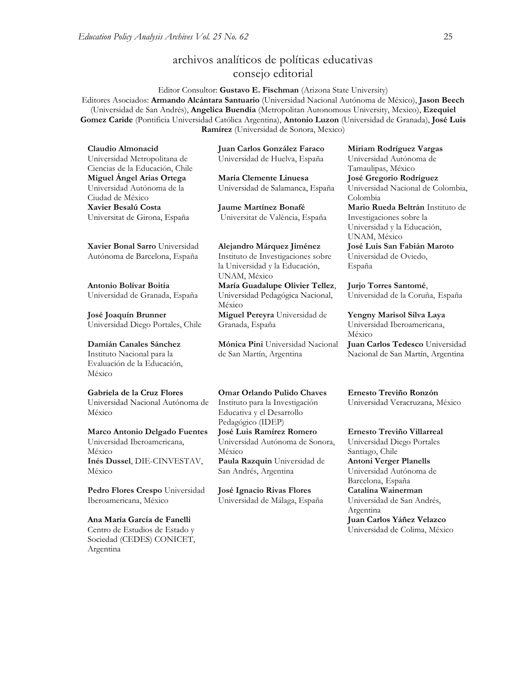**[Inés Dussel](javascript:openRTWindow()**, DIE-CINVESTAV,

**[Pedro Flores Crespo](javascript:openRTWindow()** Universidad

**Ana María García de Fanelli**  Centro de Estudios de Estado y Sociedad (CEDES) CONICET,

Iberoamericana, México

México

Argentina

# archivos analíticos de políticas educativas consejo editorial

Editor Consultor: **Gustavo E. Fischman** (Arizona State University) Editores Asociados: **Armando Alcántara Santuario** (Universidad Nacional Autónoma de México), **Jason Beech** (Universidad de San Andrés), **Angelica Buendia** (Metropolitan Autonomous University, Mexico), **Ezequiel Gomez Caride** (Pontificia Universidad Católica Argentina), **Antonio Luzon** (Universidad de Granada), **José Luis Ramírez** (Universidad de Sonora, Mexico)

| Claudio Almonacid                                                   | Juan Carlos González Faraco                                                          | Miriam Ro                               |
|---------------------------------------------------------------------|--------------------------------------------------------------------------------------|-----------------------------------------|
| Universidad Metropolitana de                                        | Universidad de Huelva, España                                                        | Universidad                             |
| Ciencias de la Educación, Chile                                     |                                                                                      | Tamaulipas,                             |
| Miguel Ángel Arias Ortega                                           | María Clemente Linuesa                                                               | José Grego                              |
| Universidad Autónoma de la                                          | Universidad de Salamanca, España                                                     | Universidad                             |
| Ciudad de México                                                    |                                                                                      | Colombia                                |
| Xavier Besalú Costa                                                 | <b>Jaume Martínez Bonafé</b>                                                         | Mario Rue                               |
| Universitat de Girona, España                                       | Universitat de València, España                                                      | Investigacio<br>Universidad<br>UNAM, Mé |
| Xavier Bonal Sarro Universidad                                      | Alejandro Márquez Jiménez                                                            | <b>José Luis S</b>                      |
| Autónoma de Barcelona, España                                       | Instituto de Investigaciones sobre<br>la Universidad y la Educación,<br>UNAM, México | Universidad<br>España                   |
| Antonio Bolívar Boitia                                              | María Guadalupe Olivier Tellez,                                                      | Jurjo Torre                             |
| Universidad de Granada, España                                      | Universidad Pedagógica Nacional,<br>México                                           | Universidad                             |
| José Joaquín Brunner                                                | Miguel Pereyra Universidad de                                                        | Yengny Ma                               |
| Universidad Diego Portales, Chile                                   | Granada, España                                                                      | Universidad<br>México                   |
| Damián Canales Sánchez                                              | Mónica Pini Universidad Nacional                                                     | <b>Juan Carlos</b>                      |
| Instituto Nacional para la<br>Evaluación de la Educación,<br>México | de San Martín, Argentina                                                             | Nacional de                             |
| Gabriela de la Cruz Flores                                          | <b>Omar Orlando Pulido Chaves</b>                                                    | Ernesto Tr                              |
| Universidad Nacional Autónoma de                                    | Instituto para la Investigación                                                      | Universidad                             |
| México                                                              | Educativa y el Desarrollo                                                            |                                         |
|                                                                     | Pedagógico (IDEP)                                                                    |                                         |
| Marco Antonio Delgado Fuentes                                       | José Luis Ramírez Romero                                                             | Ernesto Tr                              |
| Universidad Iberoamericana,                                         | Universidad Autónoma de Sonora,                                                      | Universidad                             |
| México                                                              | México                                                                               | Santiago, Cl                            |

**[Paula Razquin](javascript:openRTWindow()** Universidad de San Andrés, Argentina

**José Ignacio Rivas Flores** Universidad de Málaga, España **[Miriam Rodríguez Vargas](javascript:openRTWindow()** Autónoma de México **José Gregorio Rodríguez**  Nacional de Colombia, **[Mario Rueda Beltrán](javascript:openRTWindow()** Instituto de nes sobre la v la Educación, éxico **José Luis San Fabián Maroto**  de Oviedo,

**[Jurjo Torres Santomé](javascript:openRTWindow()**, de la Coruña, España

**[Yengny Marisol Silva Laya](javascript:openRTWindow()** Iberoamericana, **s Tedesco** Universidad San Martín, Argentina

**Ernesto Treviño Ronzón** Veracruzana, México

**[Ernesto Treviño](javascript:openRTWindow() Villarreal** Diego Portales iago, Chile **[Antoni Verger Planells](javascript:openRTWindow()** Universidad Autónoma de Barcelona, España **[Catalina Wainerman](javascript:openRTWindow()** Universidad de San Andrés, Argentina **Juan Carlos Yáñez Velazco** Universidad de Colima, México